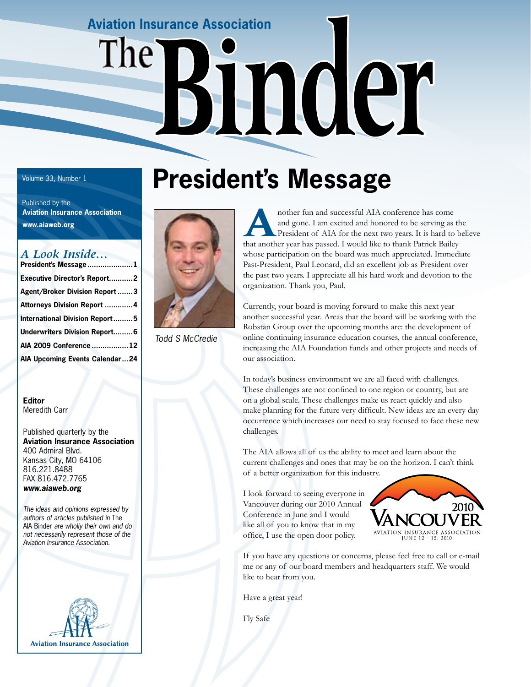## **Aviation Insurance Association**  The<sup>®</sup> moer

 Published by the  **Aviation Insurance Association www.aiaweb.org**

#### *A Look Inside…*

| President's Message1                  |
|---------------------------------------|
| <b>Executive Director's Report2</b>   |
| <b>Agent/Broker Division Report 3</b> |
| Attorneys Division Report 4           |
| <b>International Division Report5</b> |
| <b>Underwriters Division Report6</b>  |
| AIA 2009 Conference12                 |
| AIA Upcoming Events Calendar24        |
|                                       |

#### **Editor** Meredith Carr

Published quarterly by the **Aviation Insurance Association** 400 Admiral Blvd. Kansas City, MO 64106 816.221.8488 FAX 816.472.7765 *www.aiaweb.org*

*The ideas and opinions expressed by authors of articles published in* The AIA Binder *are wholly their own and do not necessarily represent those of the Aviation Insurance Association.*



### Volume 33, Number 1**8 President's Message**



*Todd S McCredie*

nother fun and successful AIA conference has come<br>and gone. I am excited and honored to be serving as<br>President of AIA for the next two years. It is hard to<br>that applement has passed I would like to thank Batrick Bailey and gone. I am excited and honored to be serving as the President of AIA for the next two years. It is hard to believe that another year has passed. I would like to thank Patrick Bailey whose participation on the board was much appreciated. Immediate Past-President, Paul Leonard, did an excellent job as President over the past two years. I appreciate all his hard work and devotion to the organization. Thank you, Paul.

Currently, your board is moving forward to make this next year another successful year. Areas that the board will be working with the Robstan Group over the upcoming months are: the development of online continuing insurance education courses, the annual conference, increasing the AIA Foundation funds and other projects and needs of our association.

In today's business environment we are all faced with challenges. These challenges are not confined to one region or country, but are on a global scale. These challenges make us react quickly and also make planning for the future very difficult. New ideas are an every day occurrence which increases our need to stay focused to face these new challenges.

The AIA allows all of us the ability to meet and learn about the current challenges and ones that may be on the horizon. I can't think of a better organization for this industry.

I look forward to seeing everyone in Vancouver during our 2010 Annual Conference in June and I would like all of you to know that in my office, I use the open door policy.



If you have any questions or concerns, please feel free to call or e-mail me or any of our board members and headquarters staff. We would like to hear from you.

Have a great year!

Fly Safe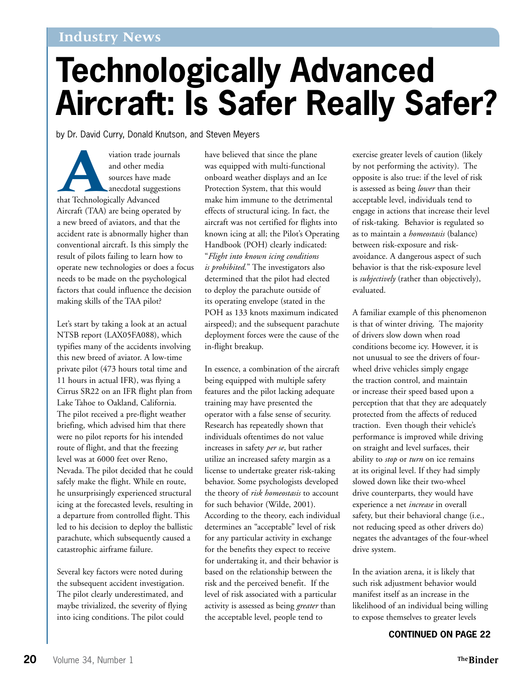#### **Industry News**

### **Technologically Advanced Aircraft: Is Safer Really Safer?**

by Dr. David Curry, Donald Knutson, and Steven Meyers

viation trade journals<br>
and other media<br>
sources have made<br>
anecdotal suggestions<br>
that Technologically Advanced and other media sources have made anecdotal suggestions Aircraft (TAA) are being operated by a new breed of aviators, and that the accident rate is abnormally higher than conventional aircraft. Is this simply the result of pilots failing to learn how to operate new technologies or does a focus needs to be made on the psychological factors that could influence the decision making skills of the TAA pilot?

Let's start by taking a look at an actual NTSB report (LAX05FA088), which typifies many of the accidents involving this new breed of aviator. A low-time private pilot (473 hours total time and 11 hours in actual IFR), was flying a Cirrus SR22 on an IFR flight plan from Lake Tahoe to Oakland, California. The pilot received a pre-flight weather briefing, which advised him that there were no pilot reports for his intended route of flight, and that the freezing level was at 6000 feet over Reno, Nevada. The pilot decided that he could safely make the flight. While en route, he unsurprisingly experienced structural icing at the forecasted levels, resulting in a departure from controlled flight. This led to his decision to deploy the ballistic parachute, which subsequently caused a catastrophic airframe failure.

Several key factors were noted during the subsequent accident investigation. The pilot clearly underestimated, and maybe trivialized, the severity of flying into icing conditions. The pilot could

have believed that since the plane was equipped with multi-functional onboard weather displays and an Ice Protection System, that this would make him immune to the detrimental effects of structural icing. In fact, the aircraft was not certified for flights into known icing at all; the Pilot's Operating Handbook (POH) clearly indicated: "*Flight into known icing conditions is prohibited.*" The investigators also determined that the pilot had elected to deploy the parachute outside of its operating envelope (stated in the POH as 133 knots maximum indicated airspeed); and the subsequent parachute deployment forces were the cause of the in-flight breakup.

In essence, a combination of the aircraft being equipped with multiple safety features and the pilot lacking adequate training may have presented the operator with a false sense of security. Research has repeatedly shown that individuals oftentimes do not value increases in safety *per se*, but rather utilize an increased safety margin as a license to undertake greater risk-taking behavior. Some psychologists developed the theory of *risk homeostasis* to account for such behavior (Wilde, 2001). According to the theory, each individual determines an "acceptable" level of risk for any particular activity in exchange for the benefits they expect to receive for undertaking it, and their behavior is based on the relationship between the risk and the perceived benefit. If the level of risk associated with a particular activity is assessed as being *greater* than the acceptable level, people tend to

exercise greater levels of caution (likely by not performing the activity). The opposite is also true: if the level of risk is assessed as being *lower* than their acceptable level, individuals tend to engage in actions that increase their level of risk-taking. Behavior is regulated so as to maintain a *homeostasis* (balance) between risk-exposure and riskavoidance. A dangerous aspect of such behavior is that the risk-exposure level is *subjectively* (rather than objectively), evaluated.

A familiar example of this phenomenon is that of winter driving. The majority of drivers slow down when road conditions become icy. However, it is not unusual to see the drivers of fourwheel drive vehicles simply engage the traction control, and maintain or increase their speed based upon a perception that that they are adequately protected from the affects of reduced traction. Even though their vehicle's performance is improved while driving on straight and level surfaces, their ability to *stop* or *turn* on ice remains at its original level. If they had simply slowed down like their two-wheel drive counterparts, they would have experience a net *increase* in overall safety, but their behavioral change (i.e., not reducing speed as other drivers do) negates the advantages of the four-wheel drive system.

In the aviation arena, it is likely that such risk adjustment behavior would manifest itself as an increase in the likelihood of an individual being willing to expose themselves to greater levels

#### **CONTINUED ON PAGE 22**